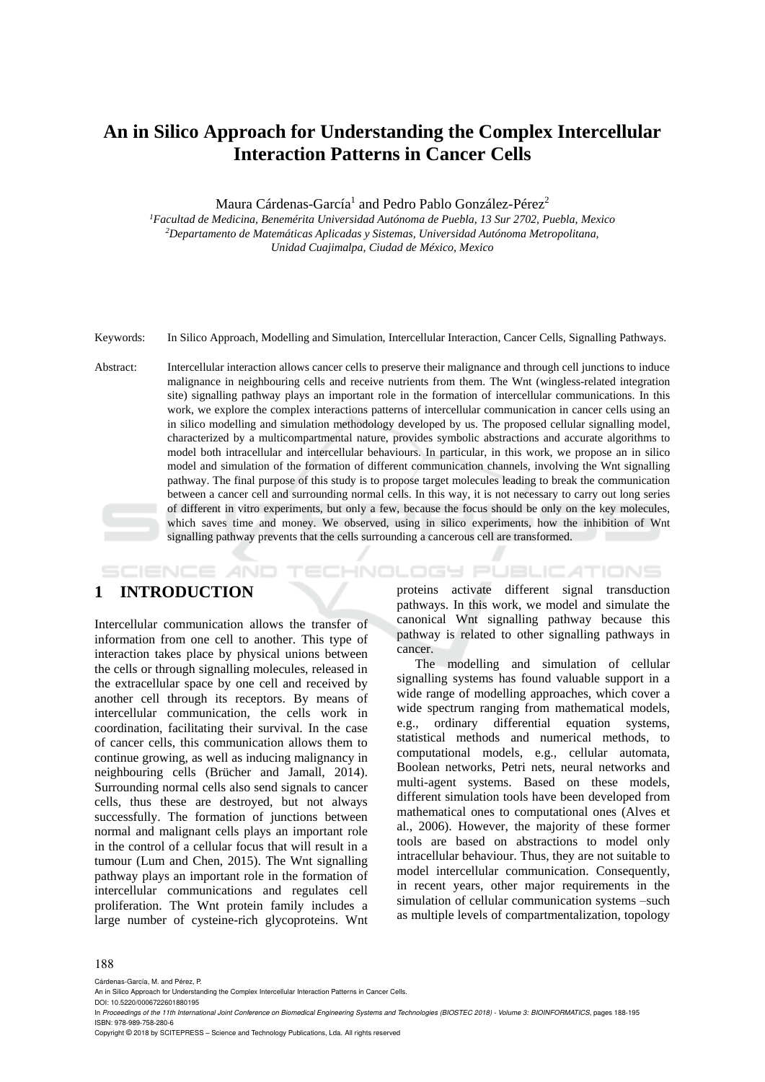# **An in Silico Approach for Understanding the Complex Intercellular Interaction Patterns in Cancer Cells**

Maura Cárdenas-García<sup>1</sup> and Pedro Pablo González-Pérez<sup>2</sup>

*<sup>1</sup>Facultad de Medicina, Benemérita Universidad Autónoma de Puebla, 13 Sur 2702, Puebla, Mexico <sup>2</sup>Departamento de Matemáticas Aplicadas y Sistemas, Universidad Autónoma Metropolitana, Unidad Cuajimalpa, Ciudad de México, Mexico*

Keywords: In Silico Approach, Modelling and Simulation, Intercellular Interaction, Cancer Cells, Signalling Pathways.

Abstract: Intercellular interaction allows cancer cells to preserve their malignance and through cell junctions to induce malignance in neighbouring cells and receive nutrients from them. The Wnt (wingless-related integration site) signalling pathway plays an important role in the formation of intercellular communications. In this work, we explore the complex interactions patterns of intercellular communication in cancer cells using an in silico modelling and simulation methodology developed by us. The proposed cellular signalling model, characterized by a multicompartmental nature, provides symbolic abstractions and accurate algorithms to model both intracellular and intercellular behaviours. In particular, in this work, we propose an in silico model and simulation of the formation of different communication channels, involving the Wnt signalling pathway. The final purpose of this study is to propose target molecules leading to break the communication between a cancer cell and surrounding normal cells. In this way, it is not necessary to carry out long series of different in vitro experiments, but only a few, because the focus should be only on the key molecules, which saves time and money. We observed, using in silico experiments, how the inhibition of Wnt signalling pathway prevents that the cells surrounding a cancerous cell are transformed.

#### **SCIENCE AND** TECHNOLOGY PUBLICATIONS **1 INTRODUCTION**

Intercellular communication allows the transfer of information from one cell to another. This type of interaction takes place by physical unions between the cells or through signalling molecules, released in the extracellular space by one cell and received by another cell through its receptors. By means of intercellular communication, the cells work in coordination, facilitating their survival. In the case of cancer cells, this communication allows them to continue growing, as well as inducing malignancy in neighbouring cells (Brücher and Jamall, 2014). Surrounding normal cells also send signals to cancer cells, thus these are destroyed, but not always successfully. The formation of junctions between normal and malignant cells plays an important role in the control of a cellular focus that will result in a tumour (Lum and Chen, 2015). The Wnt signalling pathway plays an important role in the formation of intercellular communications and regulates cell proliferation. The Wnt protein family includes a large number of cysteine-rich glycoproteins. Wnt

proteins activate different signal transduction pathways. In this work, we model and simulate the canonical Wnt signalling pathway because this pathway is related to other signalling pathways in cancer.

The modelling and simulation of cellular signalling systems has found valuable support in a wide range of modelling approaches, which cover a wide spectrum ranging from mathematical models, e.g., ordinary differential equation systems, statistical methods and numerical methods, to computational models, e.g., cellular automata, Boolean networks, Petri nets, neural networks and multi-agent systems. Based on these models, different simulation tools have been developed from mathematical ones to computational ones (Alves et al., 2006). However, the majority of these former tools are based on abstractions to model only intracellular behaviour. Thus, they are not suitable to model intercellular communication. Consequently, in recent years, other major requirements in the simulation of cellular communication systems –such as multiple levels of compartmentalization, topology

#### 188

Cárdenas-García, M. and Pérez, P.

DOI: 10.5220/0006722601880195

In *Proceedings of the 11th International Joint Conference on Biomedical Engineering Systems and Technologies (BIOSTEC 2018) - Volume 3: BIOINFORMATICS*, pages 188-195 ISBN: 978-989-758-280-6

Copyright © 2018 by SCITEPRESS – Science and Technology Publications, Lda. All rights reserved

An in Silico Approach for Understanding the Complex Intercellular Interaction Patterns in Cancer Cells.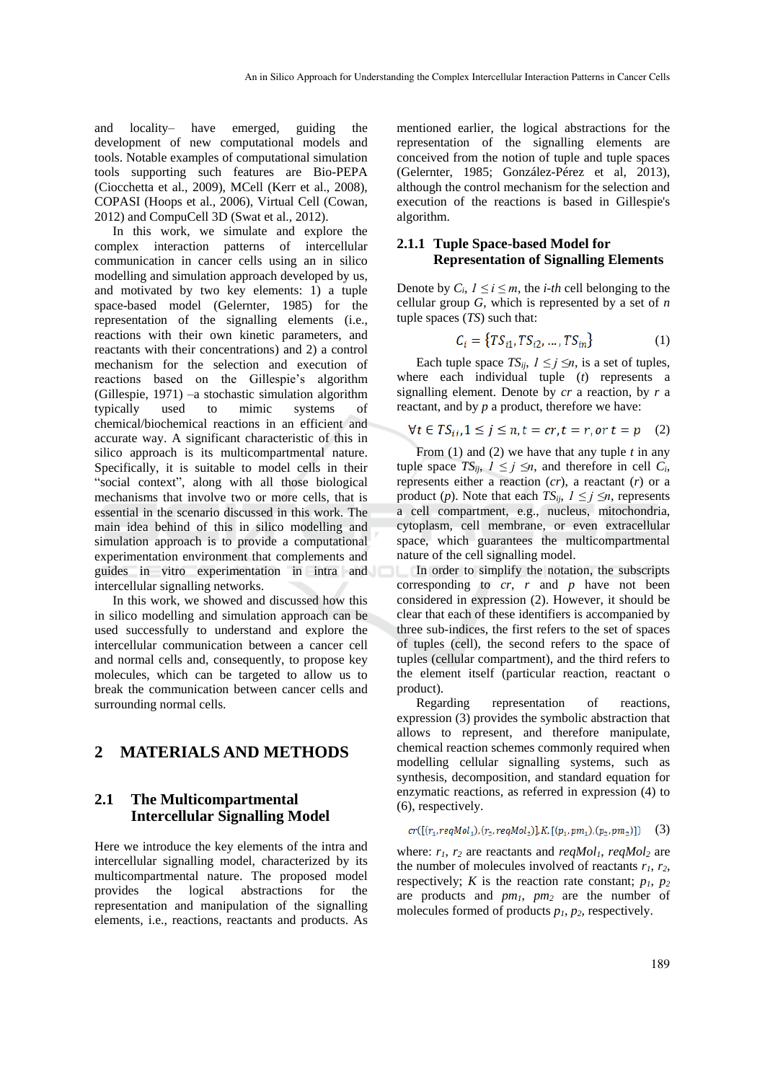and locality– have emerged, guiding the development of new computational models and tools. Notable examples of computational simulation tools supporting such features are Bio-PEPA (Ciocchetta et al., 2009), MCell (Kerr et al., 2008), COPASI (Hoops et al., 2006), Virtual Cell (Cowan, 2012) and CompuCell 3D (Swat et al., 2012).

In this work, we simulate and explore the complex interaction patterns of intercellular communication in cancer cells using an in silico modelling and simulation approach developed by us, and motivated by two key elements: 1) a tuple space-based model (Gelernter, 1985) for the representation of the signalling elements (i.e., reactions with their own kinetic parameters, and reactants with their concentrations) and 2) a control mechanism for the selection and execution of reactions based on the Gillespie's algorithm (Gillespie, 1971) –a stochastic simulation algorithm typically used to mimic systems of chemical/biochemical reactions in an efficient and accurate way. A significant characteristic of this in silico approach is its multicompartmental nature. Specifically, it is suitable to model cells in their "social context", along with all those biological mechanisms that involve two or more cells, that is essential in the scenario discussed in this work. The main idea behind of this in silico modelling and simulation approach is to provide a computational experimentation environment that complements and guides in vitro experimentation in intra and intercellular signalling networks.

In this work, we showed and discussed how this in silico modelling and simulation approach can be used successfully to understand and explore the intercellular communication between a cancer cell and normal cells and, consequently, to propose key molecules, which can be targeted to allow us to break the communication between cancer cells and surrounding normal cells.

# **2 MATERIALS AND METHODS**

### **2.1 The Multicompartmental Intercellular Signalling Model**

Here we introduce the key elements of the intra and intercellular signalling model, characterized by its multicompartmental nature. The proposed model provides the logical abstractions for the representation and manipulation of the signalling elements, i.e., reactions, reactants and products. As

mentioned earlier, the logical abstractions for the representation of the signalling elements are conceived from the notion of tuple and tuple spaces (Gelernter, 1985; González-Pérez et al, 2013), although the control mechanism for the selection and execution of the reactions is based in Gillespie's algorithm.

#### **2.1.1 Tuple Space-based Model for Representation of Signalling Elements**

Denote by  $C_i$ ,  $1 \le i \le m$ , the *i-th* cell belonging to the cellular group *G*, which is represented by a set of *n* tuple spaces (*TS*) such that:

$$
C_i = \{TS_{i1}, TS_{i2}, ..., TS_{in}\}\tag{1}
$$

Each tuple space  $TS_{ii}$ ,  $1 \le j \le n$ , is a set of tuples, where each individual tuple (*t*) represents a signalling element. Denote by *cr* a reaction, by *r* a reactant, and by *p* a product, therefore we have:

$$
\forall t \in TS_{ii}, 1 \le j \le n, t = cr, t = r, or t = p \quad (2)
$$

From (1) and (2) we have that any tuple *t* in any tuple space  $TS_{ij}$ ,  $1 \leq j \leq n$ , and therefore in cell  $C_i$ , represents either a reaction (*cr*), a reactant (*r*) or a product (*p*). Note that each  $TS_{ij}$ ,  $1 \leq j \leq n$ , represents a cell compartment, e.g., nucleus, mitochondria, cytoplasm, cell membrane, or even extracellular space, which guarantees the multicompartmental nature of the cell signalling model.

In order to simplify the notation, the subscripts corresponding to *cr*, *r* and *p* have not been considered in expression (2). However, it should be clear that each of these identifiers is accompanied by three sub-indices, the first refers to the set of spaces of tuples (cell), the second refers to the space of tuples (cellular compartment), and the third refers to the element itself (particular reaction, reactant o product).

Regarding representation of reactions, expression (3) provides the symbolic abstraction that allows to represent, and therefore manipulate, chemical reaction schemes commonly required when modelling cellular signalling systems, such as synthesis, decomposition, and standard equation for enzymatic reactions, as referred in expression (4) to (6), respectively.

$$
cr([[r_1, reqMol_1), (r_2, reqMol_2)], K, [(p_1, pm_1), (p_2, pm_2)]) \quad (3)
$$

where: *r1*, *r<sup>2</sup>* are reactants and *reqMol1*, *reqMol<sup>2</sup>* are the number of molecules involved of reactants  $r_1$ ,  $r_2$ , respectively; *K* is the reaction rate constant;  $p_1$ ,  $p_2$ are products and *pm1*, *pm<sup>2</sup>* are the number of molecules formed of products *p1*, *p2*, respectively.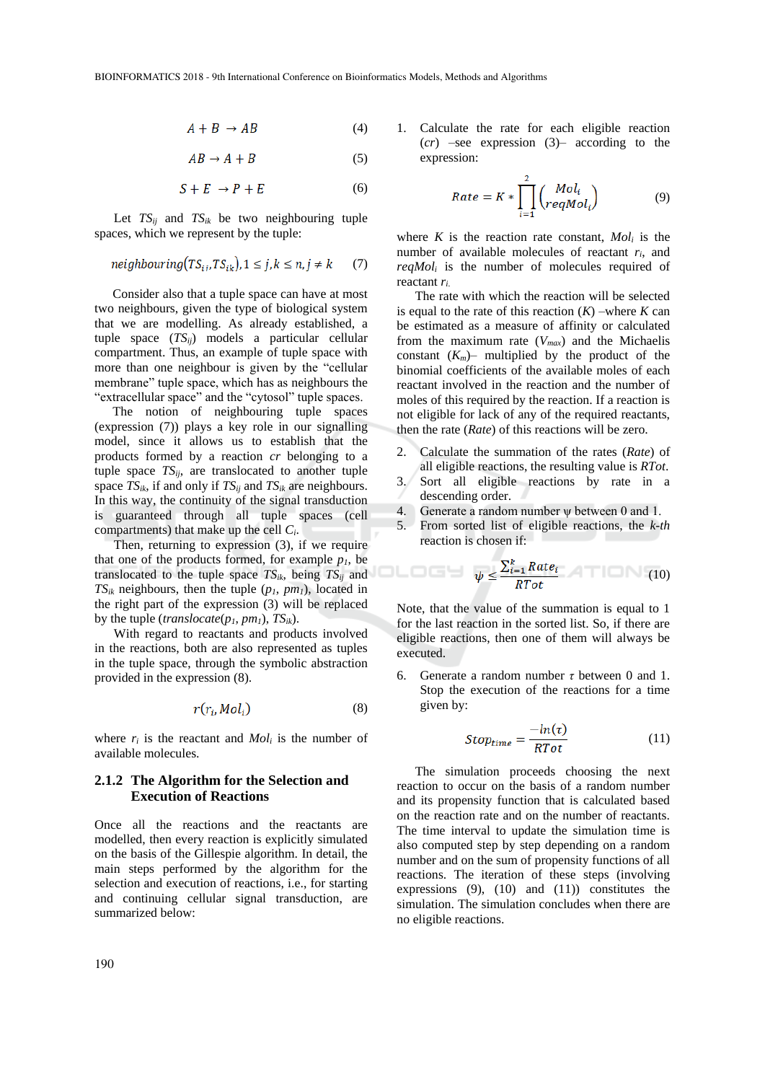$$
A + B \rightarrow AB \tag{4}
$$

$$
AB \to A + B \tag{5}
$$

$$
S + E \rightarrow P + E \tag{6}
$$

Let  $TS_{ii}$  and  $TS_{ik}$  be two neighbouring tuple spaces, which we represent by the tuple:

$$
neighbouring(TS_{ij},TS_{ik}), 1 \le j, k \le n, j \ne k \tag{7}
$$

Consider also that a tuple space can have at most two neighbours, given the type of biological system that we are modelling. As already established, a tuple space (*TSij*) models a particular cellular compartment. Thus, an example of tuple space with more than one neighbour is given by the "cellular membrane" tuple space, which has as neighbours the "extracellular space" and the "cytosol" tuple spaces.

The notion of neighbouring tuple spaces (expression (7)) plays a key role in our signalling model, since it allows us to establish that the products formed by a reaction *cr* belonging to a tuple space  $TS_{ii}$ , are translocated to another tuple space  $TS_{ik}$ , if and only if  $TS_{ii}$  and  $TS_{ik}$  are neighbours. In this way, the continuity of the signal transduction is guaranteed through all tuple spaces (cell compartments) that make up the cell *Ci*.

Then, returning to expression (3), if we require that one of the products formed, for example  $p_l$ , be translocated to the tuple space  $TS_{ik}$ , being  $TS_{ij}$  and  $TS_{ik}$  neighbours, then the tuple  $(p_1, pm_1)$ , located in the right part of the expression (3) will be replaced by the tuple (*translocate*(*p1*, *pm1*), *TSik*).

With regard to reactants and products involved in the reactions, both are also represented as tuples in the tuple space, through the symbolic abstraction provided in the expression (8).

$$
r(r_i, Mol_i) \tag{8}
$$

where  $r_i$  is the reactant and  $Mol_i$  is the number of available molecules.

#### **2.1.2 The Algorithm for the Selection and Execution of Reactions**

Once all the reactions and the reactants are modelled, then every reaction is explicitly simulated on the basis of the Gillespie algorithm. In detail, the main steps performed by the algorithm for the selection and execution of reactions, i.e., for starting and continuing cellular signal transduction, are summarized below:

1. Calculate the rate for each eligible reaction (*cr*) –see expression (3)– according to the expression:

$$
Rate = K * \prod_{i=1}^{2} {Mol_i \choose regMol_i}
$$
 (9)

where  $K$  is the reaction rate constant,  $Mol_i$  is the number of available molecules of reactant *ri*, and *reqMol<sup>i</sup>* is the number of molecules required of reactant *ri*.

The rate with which the reaction will be selected is equal to the rate of this reaction  $(K)$  –where  $K$  can be estimated as a measure of affinity or calculated from the maximum rate (*Vmax*) and the Michaelis constant  $(K_m)$ – multiplied by the product of the binomial coefficients of the available moles of each reactant involved in the reaction and the number of moles of this required by the reaction. If a reaction is not eligible for lack of any of the required reactants, then the rate (*Rate*) of this reactions will be zero.

- 2. Calculate the summation of the rates (*Rate*) of all eligible reactions, the resulting value is *RTot*.
- 3. Sort all eligible reactions by rate in a descending order.
- 4. Generate a random number ψ between 0 and 1.
- 5. From sorted list of eligible reactions, the *k-th* reaction is chosen if:

$$
\blacksquare \blacksquare \blacksquare \blacksquare \blacksquare \blacksquare \psi \leq \frac{\sum_{i=1}^{k} Rate_i}{RTot} \quad (10)
$$

Note, that the value of the summation is equal to 1 for the last reaction in the sorted list. So, if there are eligible reactions, then one of them will always be executed.

6. Generate a random number *τ* between 0 and 1. Stop the execution of the reactions for a time given by:

$$
Stop_{time} = \frac{-ln(\tau)}{RTot} \tag{11}
$$

The simulation proceeds choosing the next reaction to occur on the basis of a random number and its propensity function that is calculated based on the reaction rate and on the number of reactants. The time interval to update the simulation time is also computed step by step depending on a random number and on the sum of propensity functions of all reactions. The iteration of these steps (involving expressions (9), (10) and (11)) constitutes the simulation. The simulation concludes when there are no eligible reactions.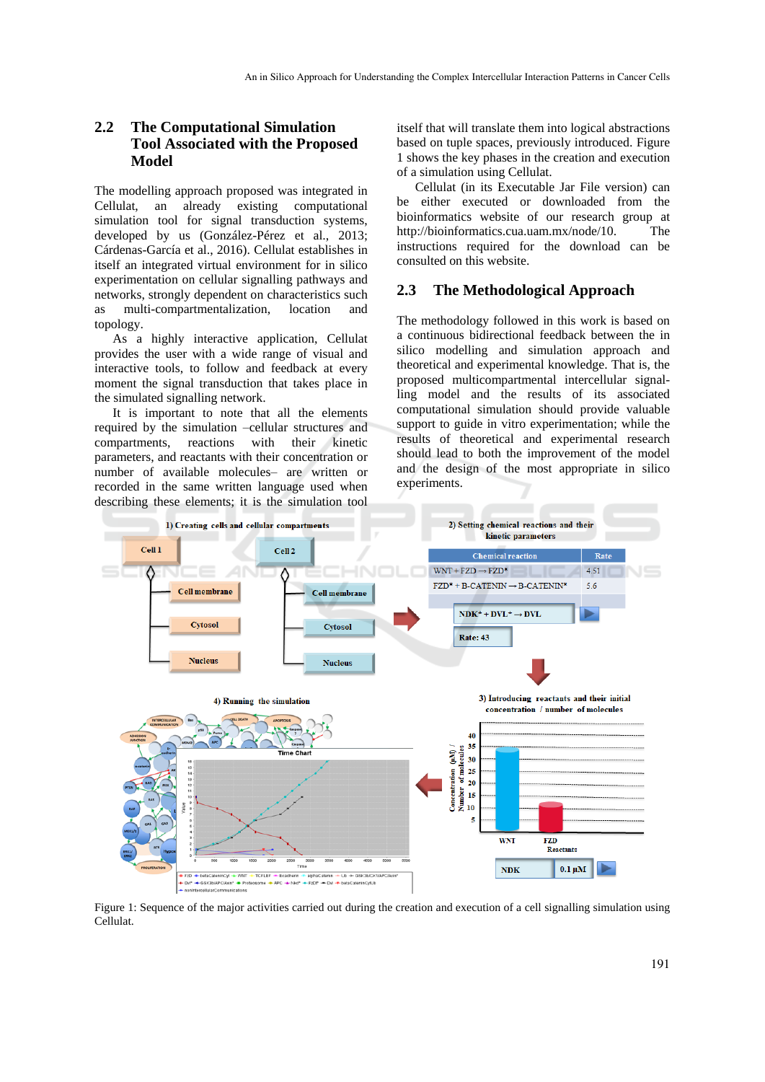## **2.2 The Computational Simulation Tool Associated with the Proposed Model**

The modelling approach proposed was integrated in Cellulat, an already existing computational simulation tool for signal transduction systems, developed by us (González-Pérez et al., 2013; Cárdenas-García et al., 2016). Cellulat establishes in itself an integrated virtual environment for in silico experimentation on cellular signalling pathways and networks, strongly dependent on characteristics such as multi-compartmentalization, location and topology.

As a highly interactive application, Cellulat provides the user with a wide range of visual and interactive tools, to follow and feedback at every moment the signal transduction that takes place in the simulated signalling network.

It is important to note that all the elements required by the simulation –cellular structures and compartments, reactions with their kinetic parameters, and reactants with their concentration or number of available molecules– are written or recorded in the same written language used when describing these elements; it is the simulation tool

itself that will translate them into logical abstractions based on tuple spaces, previously introduced. Figure 1 shows the key phases in the creation and execution of a simulation using Cellulat.

Cellulat (in its Executable Jar File version) can be either executed or downloaded from the bioinformatics website of our research group at http://bioinformatics.cua.uam.mx/node/10. The instructions required for the download can be consulted on this website.

#### **2.3 The Methodological Approach**

The methodology followed in this work is based on a continuous bidirectional feedback between the in silico modelling and simulation approach and theoretical and experimental knowledge. That is, the proposed multicompartmental intercellular signalling model and the results of its associated computational simulation should provide valuable support to guide in vitro experimentation; while the results of theoretical and experimental research should lead to both the improvement of the model and the design of the most appropriate in silico experiments.



Figure 1: Sequence of the major activities carried out during the creation and execution of a cell signalling simulation using Cellulat.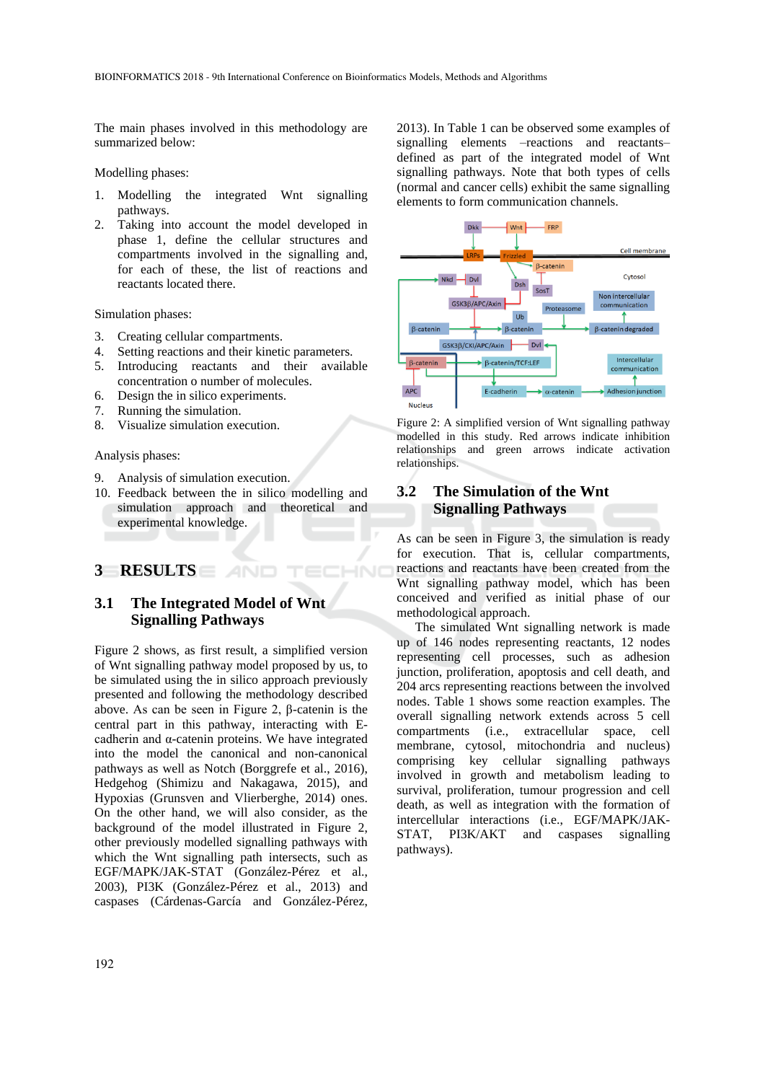The main phases involved in this methodology are summarized below:

Modelling phases:

- 1. Modelling the integrated Wnt signalling pathways.
- 2. Taking into account the model developed in phase 1, define the cellular structures and compartments involved in the signalling and, for each of these, the list of reactions and reactants located there.

Simulation phases:

- 3. Creating cellular compartments.
- 4. Setting reactions and their kinetic parameters.
- 5. Introducing reactants and their available concentration o number of molecules.
- 6. Design the in silico experiments.
- 7. Running the simulation.
- 8. Visualize simulation execution.

Analysis phases:

- 9. Analysis of simulation execution.
- 10. Feedback between the in silico modelling and simulation approach and theoretical and experimental knowledge.

#### **3 RESULTS**

### **3.1 The Integrated Model of Wnt Signalling Pathways**

Figure 2 shows, as first result, a simplified version of Wnt signalling pathway model proposed by us, to be simulated using the in silico approach previously presented and following the methodology described above. As can be seen in Figure 2, β-catenin is the central part in this pathway, interacting with Ecadherin and α-catenin proteins. We have integrated into the model the canonical and non-canonical pathways as well as Notch (Borggrefe et al., 2016), Hedgehog (Shimizu and Nakagawa, 2015), and Hypoxias (Grunsven and Vlierberghe, 2014) ones. On the other hand, we will also consider, as the background of the model illustrated in Figure 2, other previously modelled signalling pathways with which the Wnt signalling path intersects, such as EGF/MAPK/JAK-STAT (González-Pérez et al., 2003), PI3K (González-Pérez et al., 2013) and caspases (Cárdenas-García and González-Pérez, 2013). In Table 1 can be observed some examples of signalling elements –reactions and reactants– defined as part of the integrated model of Wnt signalling pathways. Note that both types of cells (normal and cancer cells) exhibit the same signalling elements to form communication channels.



Figure 2: A simplified version of Wnt signalling pathway modelled in this study. Red arrows indicate inhibition relationships and green arrows indicate activation relationships.

# **3.2 The Simulation of the Wnt Signalling Pathways**

As can be seen in Figure 3, the simulation is ready for execution. That is, cellular compartments, reactions and reactants have been created from the Wnt signalling pathway model, which has been conceived and verified as initial phase of our methodological approach.

The simulated Wnt signalling network is made up of 146 nodes representing reactants, 12 nodes representing cell processes, such as adhesion junction, proliferation, apoptosis and cell death, and 204 arcs representing reactions between the involved nodes. Table 1 shows some reaction examples. The overall signalling network extends across 5 cell compartments (i.e., extracellular space, cell membrane, cytosol, mitochondria and nucleus) comprising key cellular signalling pathways involved in growth and metabolism leading to survival, proliferation, tumour progression and cell death, as well as integration with the formation of intercellular interactions (i.e., EGF/MAPK/JAK-STAT, PI3K/AKT and caspases signalling pathways).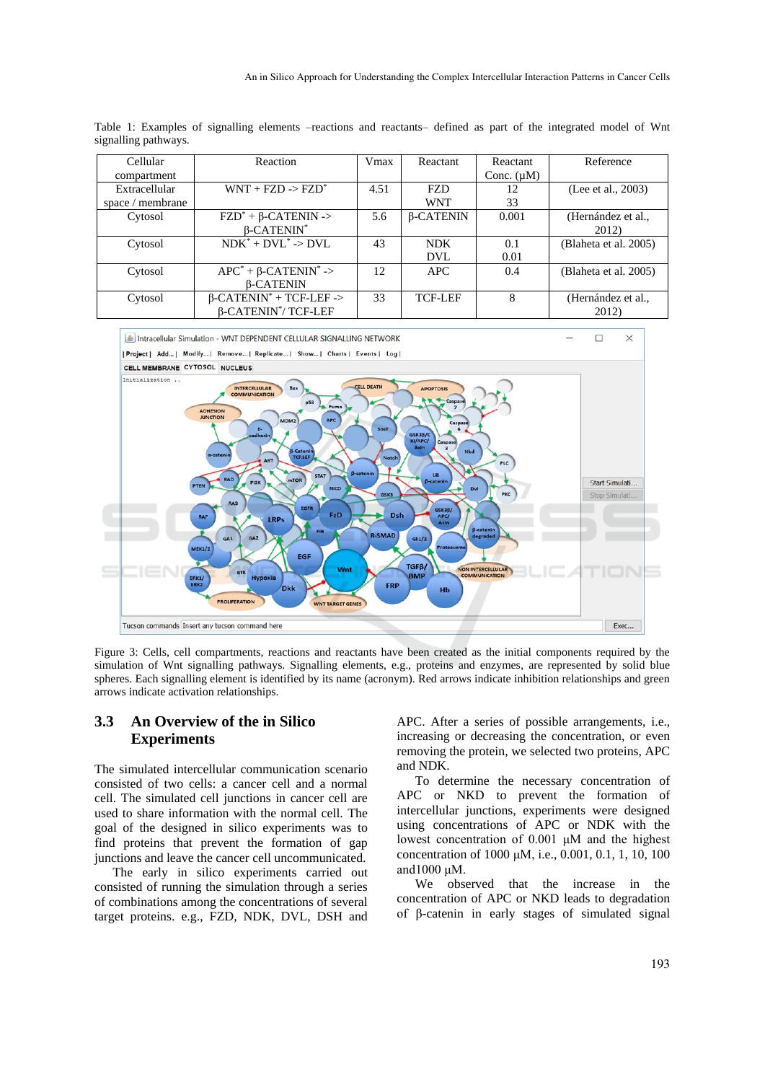| Cellular         | Reaction                                   | Vmax | Reactant         | Reactant        | Reference             |
|------------------|--------------------------------------------|------|------------------|-----------------|-----------------------|
| compartment      |                                            |      |                  | Conc. $(\mu M)$ |                       |
| Extracellular    | $WNT + FZD \rightarrow FZD^*$              | 4.51 | <b>FZD</b>       | 12              | (Lee et al., 2003)    |
| space / membrane |                                            |      | <b>WNT</b>       | 33              |                       |
| Cytosol          | $FZD^* + \beta$ -CATENIN ->                | 5.6  | $\beta$ -CATENIN | 0.001           | (Hernández et al.,    |
|                  | $\beta$ -CATENIN <sup>*</sup>              |      |                  |                 | 2012)                 |
| Cytosol          | $NDK^* + DVL^* \rightarrow DVL$            | 43   | <b>NDK</b>       | 0.1             | (Blaheta et al. 2005) |
|                  |                                            |      | <b>DVL</b>       | 0.01            |                       |
| Cytosol          | $APC^*$ + $\beta$ -CATENIN <sup>*</sup> -> | 12   | <b>APC</b>       | 0.4             | (Blaheta et al. 2005) |
|                  | <b>B-CATENIN</b>                           |      |                  |                 |                       |
| Cytosol          | $\beta$ -CATENIN <sup>*</sup> + TCF-LEF -> | 33   | <b>TCF-LEF</b>   | 8               | (Hernández et al.,    |
|                  | $\beta$ -CATENIN <sup>*</sup> /TCF-LEF     |      |                  |                 | 2012)                 |

Table 1: Examples of signalling elements –reactions and reactants– defined as part of the integrated model of Wnt signalling pathways.



Figure 3: Cells, cell compartments, reactions and reactants have been created as the initial components required by the simulation of Wnt signalling pathways. Signalling elements, e.g., proteins and enzymes, are represented by solid blue spheres. Each signalling element is identified by its name (acronym). Red arrows indicate inhibition relationships and green arrows indicate activation relationships.

#### **3.3 An Overview of the in Silico Experiments**

The simulated intercellular communication scenario consisted of two cells: a cancer cell and a normal cell. The simulated cell junctions in cancer cell are used to share information with the normal cell. The goal of the designed in silico experiments was to find proteins that prevent the formation of gap junctions and leave the cancer cell uncommunicated.

The early in silico experiments carried out consisted of running the simulation through a series of combinations among the concentrations of several target proteins. e.g., FZD, NDK, DVL, DSH and

APC. After a series of possible arrangements, i.e., increasing or decreasing the concentration, or even removing the protein, we selected two proteins, APC and NDK.

To determine the necessary concentration of APC or NKD to prevent the formation of intercellular junctions, experiments were designed using concentrations of APC or NDK with the lowest concentration of 0.001 μM and the highest concentration of 1000 μM, i.e., 0.001, 0.1, 1, 10, 100 and1000 μM.

We observed that the increase in the concentration of APC or NKD leads to degradation of β-catenin in early stages of simulated signal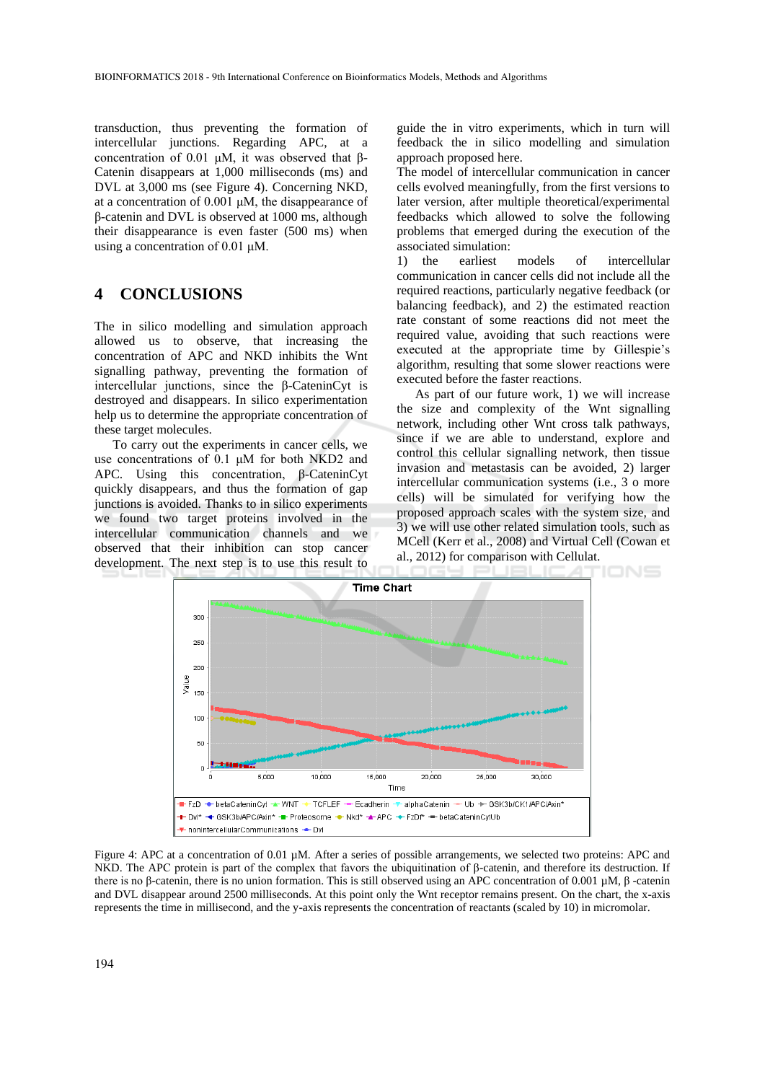transduction, thus preventing the formation of intercellular junctions. Regarding APC, at a concentration of 0.01 μM, it was observed that β-Catenin disappears at 1,000 milliseconds (ms) and DVL at 3,000 ms (see Figure 4). Concerning NKD, at a concentration of 0.001 μM, the disappearance of β-catenin and DVL is observed at 1000 ms, although their disappearance is even faster (500 ms) when using a concentration of 0.01 μM.

# **4 CONCLUSIONS**

The in silico modelling and simulation approach allowed us to observe, that increasing the concentration of APC and NKD inhibits the Wnt signalling pathway, preventing the formation of intercellular junctions, since the β-CateninCyt is destroyed and disappears. In silico experimentation help us to determine the appropriate concentration of these target molecules.

To carry out the experiments in cancer cells, we use concentrations of 0.1 μM for both NKD2 and APC. Using this concentration, β-CateninCyt quickly disappears, and thus the formation of gap junctions is avoided. Thanks to in silico experiments we found two target proteins involved in the intercellular communication channels and we observed that their inhibition can stop cancer development. The next step is to use this result to

guide the in vitro experiments, which in turn will feedback the in silico modelling and simulation approach proposed here.

The model of intercellular communication in cancer cells evolved meaningfully, from the first versions to later version, after multiple theoretical/experimental feedbacks which allowed to solve the following problems that emerged during the execution of the associated simulation:

1) the earliest models of intercellular communication in cancer cells did not include all the required reactions, particularly negative feedback (or balancing feedback), and 2) the estimated reaction rate constant of some reactions did not meet the required value, avoiding that such reactions were executed at the appropriate time by Gillespie's algorithm, resulting that some slower reactions were executed before the faster reactions.

As part of our future work, 1) we will increase the size and complexity of the Wnt signalling network, including other Wnt cross talk pathways, since if we are able to understand, explore and control this cellular signalling network, then tissue invasion and metastasis can be avoided, 2) larger intercellular communication systems (i.e., 3 o more cells) will be simulated for verifying how the proposed approach scales with the system size, and 3) we will use other related simulation tools, such as MCell (Kerr et al., 2008) and Virtual Cell (Cowan et al., 2012) for comparison with Cellulat.



Figure 4: APC at a concentration of 0.01  $\mu$ M. After a series of possible arrangements, we selected two proteins: APC and NKD. The APC protein is part of the complex that favors the ubiquitination of β-catenin, and therefore its destruction. If there is no β-catenin, there is no union formation. This is still observed using an APC concentration of 0.001 µM, β -catenin and DVL disappear around 2500 milliseconds. At this point only the Wnt receptor remains present. On the chart, the x-axis represents the time in millisecond, and the y-axis represents the concentration of reactants (scaled by 10) in micromolar.